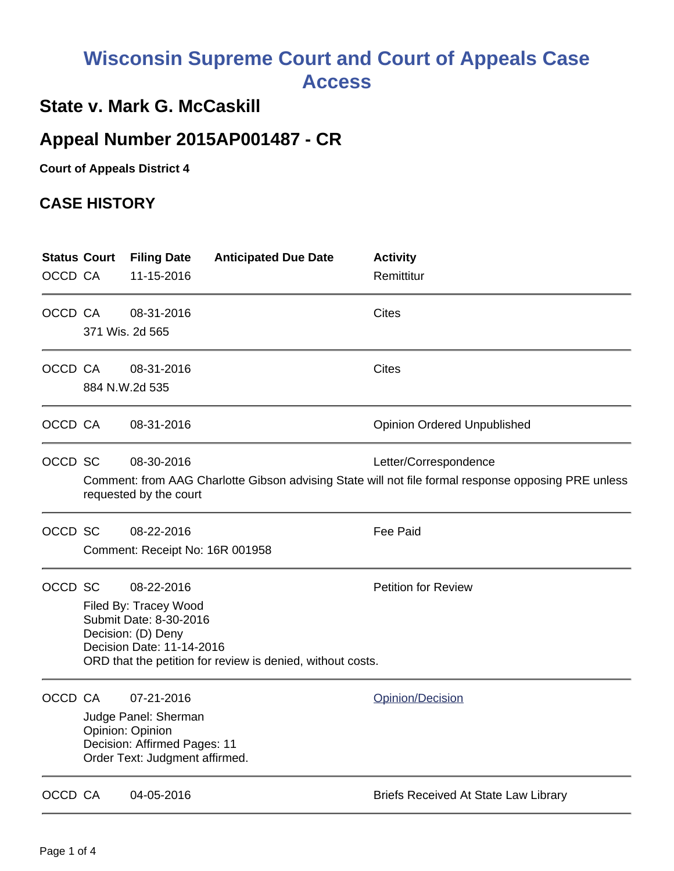# **Wisconsin Supreme Court and Court of Appeals Case Access**

### **State v. Mark G. McCaskill**

## **Appeal Number 2015AP001487 - CR**

**Court of Appeals District 4**

#### **CASE HISTORY**

|         | <b>Status Court</b>                                                                                                           | <b>Filing Date</b>              | <b>Anticipated Due Date</b> | <b>Activity</b>                             |  |  |
|---------|-------------------------------------------------------------------------------------------------------------------------------|---------------------------------|-----------------------------|---------------------------------------------|--|--|
| OCCD CA |                                                                                                                               | 11-15-2016                      |                             | Remittitur                                  |  |  |
| OCCD CA |                                                                                                                               | 08-31-2016                      |                             | <b>Cites</b>                                |  |  |
|         | 371 Wis. 2d 565                                                                                                               |                                 |                             |                                             |  |  |
| OCCD CA |                                                                                                                               | 08-31-2016                      |                             | <b>Cites</b>                                |  |  |
|         | 884 N.W.2d 535                                                                                                                |                                 |                             |                                             |  |  |
| OCCD CA |                                                                                                                               | 08-31-2016                      |                             | <b>Opinion Ordered Unpublished</b>          |  |  |
| OCCD SC |                                                                                                                               | 08-30-2016                      |                             | Letter/Correspondence                       |  |  |
|         | Comment: from AAG Charlotte Gibson advising State will not file formal response opposing PRE unless<br>requested by the court |                                 |                             |                                             |  |  |
| OCCD SC |                                                                                                                               | 08-22-2016                      |                             | <b>Fee Paid</b>                             |  |  |
|         |                                                                                                                               | Comment: Receipt No: 16R 001958 |                             |                                             |  |  |
| OCCD SC |                                                                                                                               | 08-22-2016                      |                             | <b>Petition for Review</b>                  |  |  |
|         |                                                                                                                               | Filed By: Tracey Wood           |                             |                                             |  |  |
|         | Submit Date: 8-30-2016<br>Decision: (D) Deny                                                                                  |                                 |                             |                                             |  |  |
|         | Decision Date: 11-14-2016                                                                                                     |                                 |                             |                                             |  |  |
|         | ORD that the petition for review is denied, without costs.                                                                    |                                 |                             |                                             |  |  |
| OCCD CA |                                                                                                                               | 07-21-2016                      |                             | Opinion/Decision                            |  |  |
|         |                                                                                                                               | Judge Panel: Sherman            |                             |                                             |  |  |
|         | Opinion: Opinion<br>Decision: Affirmed Pages: 11                                                                              |                                 |                             |                                             |  |  |
|         | Order Text: Judgment affirmed.                                                                                                |                                 |                             |                                             |  |  |
| OCCD CA |                                                                                                                               | 04-05-2016                      |                             | <b>Briefs Received At State Law Library</b> |  |  |
|         |                                                                                                                               |                                 |                             |                                             |  |  |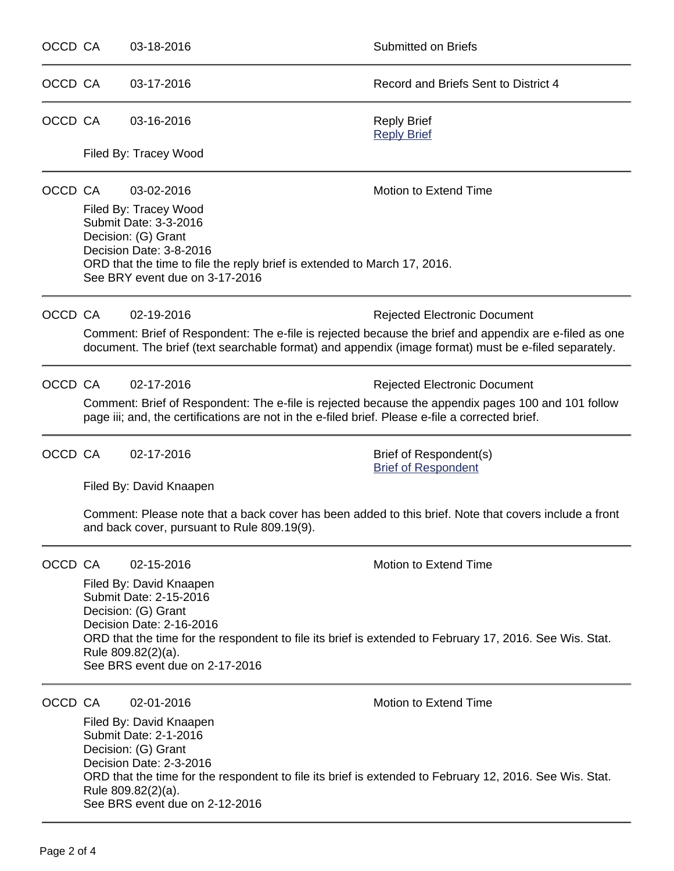| OCCD CA |                                                                                                                                                                                                                                                                         | 03-18-2016                                                                                                                                                 | <b>Submitted on Briefs</b>                                                                              |  |  |  |
|---------|-------------------------------------------------------------------------------------------------------------------------------------------------------------------------------------------------------------------------------------------------------------------------|------------------------------------------------------------------------------------------------------------------------------------------------------------|---------------------------------------------------------------------------------------------------------|--|--|--|
| OCCD CA |                                                                                                                                                                                                                                                                         | 03-17-2016                                                                                                                                                 | Record and Briefs Sent to District 4                                                                    |  |  |  |
| OCCD CA |                                                                                                                                                                                                                                                                         | 03-16-2016                                                                                                                                                 | <b>Reply Brief</b><br><b>Reply Brief</b>                                                                |  |  |  |
|         | Filed By: Tracey Wood                                                                                                                                                                                                                                                   |                                                                                                                                                            |                                                                                                         |  |  |  |
| OCCD CA |                                                                                                                                                                                                                                                                         | 03-02-2016                                                                                                                                                 | Motion to Extend Time                                                                                   |  |  |  |
|         | Filed By: Tracey Wood<br>Submit Date: 3-3-2016<br>Decision: (G) Grant<br>Decision Date: 3-8-2016<br>ORD that the time to file the reply brief is extended to March 17, 2016.<br>See BRY event due on 3-17-2016                                                          |                                                                                                                                                            |                                                                                                         |  |  |  |
| OCCD CA |                                                                                                                                                                                                                                                                         | 02-19-2016                                                                                                                                                 | <b>Rejected Electronic Document</b>                                                                     |  |  |  |
|         | Comment: Brief of Respondent: The e-file is rejected because the brief and appendix are e-filed as one<br>document. The brief (text searchable format) and appendix (image format) must be e-filed separately.                                                          |                                                                                                                                                            |                                                                                                         |  |  |  |
| OCCD CA |                                                                                                                                                                                                                                                                         | 02-17-2016                                                                                                                                                 | <b>Rejected Electronic Document</b>                                                                     |  |  |  |
|         | Comment: Brief of Respondent: The e-file is rejected because the appendix pages 100 and 101 follow<br>page iii; and, the certifications are not in the e-filed brief. Please e-file a corrected brief.                                                                  |                                                                                                                                                            |                                                                                                         |  |  |  |
| OCCD CA |                                                                                                                                                                                                                                                                         | 02-17-2016                                                                                                                                                 | Brief of Respondent(s)<br><b>Brief of Respondent</b>                                                    |  |  |  |
|         | Filed By: David Knaapen                                                                                                                                                                                                                                                 |                                                                                                                                                            |                                                                                                         |  |  |  |
|         | Comment: Please note that a back cover has been added to this brief. Note that covers include a front<br>and back cover, pursuant to Rule 809.19(9).                                                                                                                    |                                                                                                                                                            |                                                                                                         |  |  |  |
| OCCD CA |                                                                                                                                                                                                                                                                         | 02-15-2016                                                                                                                                                 | Motion to Extend Time                                                                                   |  |  |  |
|         | Filed By: David Knaapen<br>Submit Date: 2-15-2016<br>Decision: (G) Grant<br>Decision Date: 2-16-2016<br>ORD that the time for the respondent to file its brief is extended to February 17, 2016. See Wis. Stat.<br>Rule 809.82(2)(a).<br>See BRS event due on 2-17-2016 |                                                                                                                                                            |                                                                                                         |  |  |  |
| OCCD CA |                                                                                                                                                                                                                                                                         | 02-01-2016                                                                                                                                                 | Motion to Extend Time                                                                                   |  |  |  |
|         |                                                                                                                                                                                                                                                                         | Filed By: David Knaapen<br>Submit Date: 2-1-2016<br>Decision: (G) Grant<br>Decision Date: 2-3-2016<br>Rule 809.82(2)(a).<br>See BRS event due on 2-12-2016 | ORD that the time for the respondent to file its brief is extended to February 12, 2016. See Wis. Stat. |  |  |  |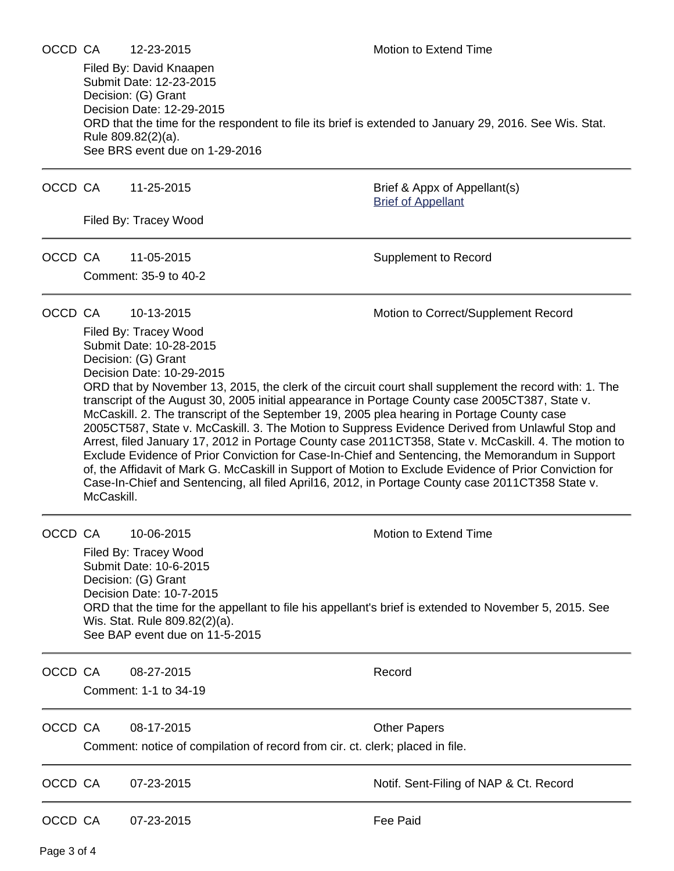Filed By: David Knaapen Submit Date: 12-23-2015 Decision: (G) Grant Decision Date: 12-29-2015 ORD that the time for the respondent to file its brief is extended to January 29, 2016. See Wis. Stat. Rule 809.82(2)(a). See BRS event due on 1-29-2016

OCCD CA 11-25-2015 Brief & Appx of Appellant(s)

Filed By: Tracey Wood

Comment: 35-9 to 40-2

OCCD CA 11-05-2015 Supplement to Record

[Brief of Appellant](https://acefiling.wicourts.gov/document/eFiled/2015AP001487/156299)

OCCD CA 10-13-2015 Motion to Correct/Supplement Record

Filed By: Tracey Wood Submit Date: 10-28-2015 Decision: (G) Grant Decision Date: 10-29-2015 ORD that by November 13, 2015, the clerk of the circuit court shall supplement the record with: 1. The transcript of the August 30, 2005 initial appearance in Portage County case 2005CT387, State v. McCaskill. 2. The transcript of the September 19, 2005 plea hearing in Portage County case 2005CT587, State v. McCaskill. 3. The Motion to Suppress Evidence Derived from Unlawful Stop and Arrest, filed January 17, 2012 in Portage County case 2011CT358, State v. McCaskill. 4. The motion to Exclude Evidence of Prior Conviction for Case-In-Chief and Sentencing, the Memorandum in Support of, the Affidavit of Mark G. McCaskill in Support of Motion to Exclude Evidence of Prior Conviction for Case-In-Chief and Sentencing, all filed April16, 2012, in Portage County case 2011CT358 State v. McCaskill.

OCCD CA 10-06-2015 Motion to Extend Time

Filed By: Tracey Wood Submit Date: 10-6-2015 Decision: (G) Grant Decision Date: 10-7-2015 ORD that the time for the appellant to file his appellant's brief is extended to November 5, 2015. See Wis. Stat. Rule 809.82(2)(a). See BAP event due on 11-5-2015

OCCD CA 08-27-2015 Record

Comment: 1-1 to 34-19

OCCD CA 08-17-2015 COLOU CHE Papers

Comment: notice of compilation of record from cir. ct. clerk; placed in file.

OCCD CA 07-23-2015 Notif. Sent-Filing of NAP & Ct. Record

OCCD CA 07-23-2015 Fee Paid

Page 3 of 4